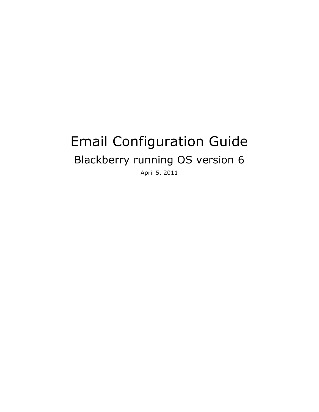# Email Configuration Guide Blackberry running OS version 6

April 5, 2011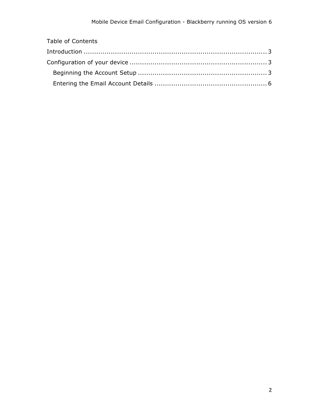| <b>Table of Contents</b> |  |
|--------------------------|--|
|                          |  |
|                          |  |
|                          |  |
|                          |  |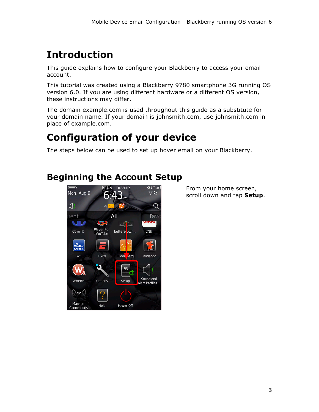## **Introduction**

This guide explains how to configure your Blackberry to access your email account.

This tutorial was created using a Blackberry 9780 smartphone 3G running OS version 6.0. If you are using different hardware or a different OS version, these instructions may differ.

The domain example.com is used throughout this guide as a substitute for your domain name. If your domain is johnsmith.com, use johnsmith.com in place of example.com.

## **Configuration of your device**

The steps below can be used to set up hover email on your Blackberry.

### **Beginning the Account Setup**



From your home screen, scroll down and tap **Setup**.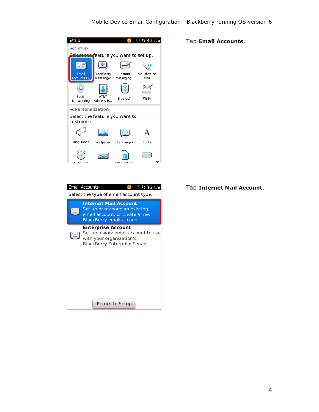

|                                        | <b>Email Accounts</b><br>-: 3G ™II                                                                                           |  |  |  |
|----------------------------------------|------------------------------------------------------------------------------------------------------------------------------|--|--|--|
| Select the type of email account type: |                                                                                                                              |  |  |  |
|                                        | <b>Internet Mail Account</b><br>Set up or manage an existing<br>email account, or create a new<br>BlackBerry email account.  |  |  |  |
|                                        | <b>Enterprise Account</b><br>Set up a work email account to use<br>with your organization's<br>BlackBerry Enterprise Server. |  |  |  |
|                                        | Return to Setup                                                                                                              |  |  |  |

#### Tap **Email Accounts**.

#### Tap **Internet Mail Account**.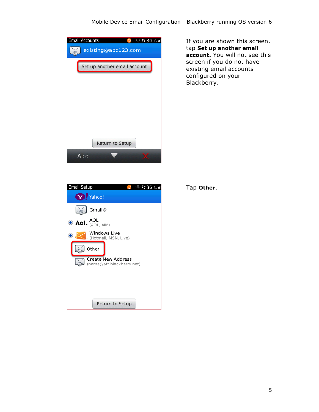#### Mobile Device Email Configuration - Blackberry running OS version 6

| <b>Email Accounts</b><br>$\widehat{\mathbb{C}}$ : 3G T. all |
|-------------------------------------------------------------|
| existing@abc123.com                                         |
| Set up another email account                                |
|                                                             |
|                                                             |
|                                                             |
|                                                             |
| <b>Return to Setup</b>                                      |
| Alcd                                                        |

If you are shown this screen, tap **Set up another email account.** You will not see this screen if you do not have existing email accounts configured on your Blackberry.

| Email Setup                                            |  | <u>፡: 3G ™…II</u> |  |
|--------------------------------------------------------|--|-------------------|--|
| Y Yahoo!                                               |  |                   |  |
| Gmail <sup>®</sup>                                     |  |                   |  |
| $\oplus$ AoI. $_{(AOL, AH)}^{AOL}$                     |  |                   |  |
| Windows Live<br>(Hotmail, MSN, Live)                   |  |                   |  |
| Other                                                  |  |                   |  |
| <b>Create New Address</b><br>(name@att.blackberry.net) |  |                   |  |
|                                                        |  |                   |  |
|                                                        |  |                   |  |
| <b>Return to Setup</b>                                 |  |                   |  |

Tap **Other**.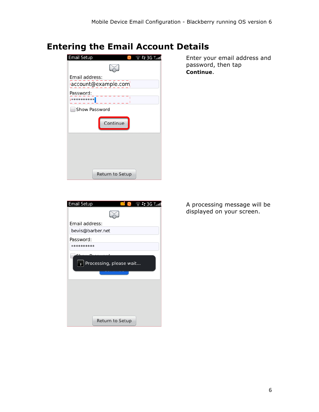### **Entering the Email Account Details**



Enter your email address and password, then tap **Continue**.

| <b>Email Setup</b> | $\widehat{\mathbb{R}}$ : 3G TII |
|--------------------|---------------------------------|
|                    |                                 |
| Email address:     |                                 |
| bevis@barber.net   |                                 |
| Password:          |                                 |
| **********         |                                 |
| $\mathbb{R}^2$     | Processing, please wait         |
|                    | <b>Return to Setup</b>          |

A processing message will be displayed on your screen.